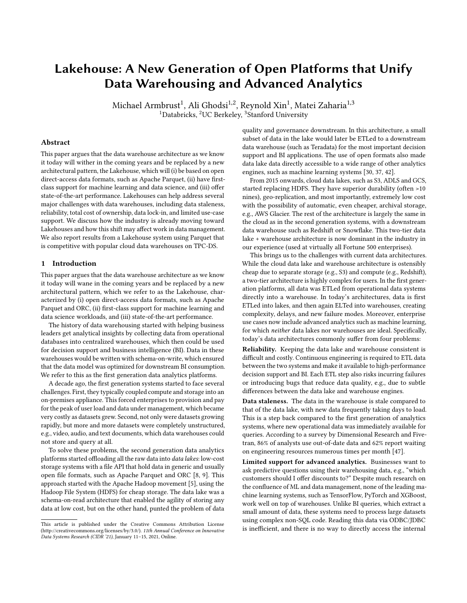# Lakehouse: A New Generation of Open Platforms that Unify Data Warehousing and Advanced Analytics

Michael Armbrust $^1$ , Ali Ghodsi $^{1,2}$ , Reynold Xin $^1$ , Matei Zaharia $^{1,3}$  $1$ Databricks,  $2$ UC Berkeley,  $3$ Stanford University

## Abstract

This paper argues that the data warehouse architecture as we know it today will wither in the coming years and be replaced by a new architectural pattern, the Lakehouse, which will (i) be based on open direct-access data formats, such as Apache Parquet, (ii) have firstclass support for machine learning and data science, and (iii) offer state-of-the-art performance. Lakehouses can help address several major challenges with data warehouses, including data staleness, reliability, total cost of ownership, data lock-in, and limited use-case support. We discuss how the industry is already moving toward Lakehouses and how this shift may affect work in data management. We also report results from a Lakehouse system using Parquet that is competitive with popular cloud data warehouses on TPC-DS.

# 1 Introduction

This paper argues that the data warehouse architecture as we know it today will wane in the coming years and be replaced by a new architectural pattern, which we refer to as the Lakehouse, characterized by (i) open direct-access data formats, such as Apache Parquet and ORC, (ii) first-class support for machine learning and data science workloads, and (iii) state-of-the-art performance.

The history of data warehousing started with helping business leaders get analytical insights by collecting data from operational databases into centralized warehouses, which then could be used for decision support and business intelligence (BI). Data in these warehouses would be written with schema-on-write, which ensured that the data model was optimized for downstream BI consumption. We refer to this as the first generation data analytics platforms.

A decade ago, the first generation systems started to face several challenges. First, they typically coupled compute and storage into an on-premises appliance. This forced enterprises to provision and pay for the peak of user load and data under management, which became very costly as datasets grew. Second, not only were datasets growing rapidly, but more and more datasets were completely unstructured, e.g., video, audio, and text documents, which data warehouses could not store and query at all.

To solve these problems, the second generation data analytics platforms started offloading all the raw data into data lakes: low-cost storage systems with a file API that hold data in generic and usually open file formats, such as Apache Parquet and ORC [\[8,](#page-6-0) [9\]](#page-6-1). This approach started with the Apache Hadoop movement [\[5\]](#page-6-2), using the Hadoop File System (HDFS) for cheap storage. The data lake was a schema-on-read architecture that enabled the agility of storing any data at low cost, but on the other hand, punted the problem of data quality and governance downstream. In this architecture, a small subset of data in the lake would later be ETLed to a downstream data warehouse (such as Teradata) for the most important decision support and BI applications. The use of open formats also made data lake data directly accessible to a wide range of other analytics engines, such as machine learning systems [\[30,](#page-7-0) [37,](#page-7-1) [42\]](#page-7-2).

From 2015 onwards, cloud data lakes, such as S3, ADLS and GCS, started replacing HDFS. They have superior durability (often >10 nines), geo-replication, and most importantly, extremely low cost with the possibility of automatic, even cheaper, archival storage, e.g., AWS Glacier. The rest of the architecture is largely the same in the cloud as in the second generation systems, with a downstream data warehouse such as Redshift or Snowflake. This two-tier data lake + warehouse architecture is now dominant in the industry in our experience (used at virtually all Fortune 500 enterprises).

This brings us to the challenges with current data architectures. While the cloud data lake and warehouse architecture is ostensibly cheap due to separate storage (e.g., S3) and compute (e.g., Redshift), a two-tier architecture is highly complex for users. In the first generation platforms, all data was ETLed from operational data systems directly into a warehouse. In today's architectures, data is first ETLed into lakes, and then again ELTed into warehouses, creating complexity, delays, and new failure modes. Moreover, enterprise use cases now include advanced analytics such as machine learning, for which neither data lakes nor warehouses are ideal. Specifically, today's data architectures commonly suffer from four problems:

Reliability. Keeping the data lake and warehouse consistent is difficult and costly. Continuous engineering is required to ETL data between the two systems and make it available to high-performance decision support and BI. Each ETL step also risks incurring failures or introducing bugs that reduce data quality, e.g., due to subtle differences between the data lake and warehouse engines.

Data staleness. The data in the warehouse is stale compared to that of the data lake, with new data frequently taking days to load. This is a step back compared to the first generation of analytics systems, where new operational data was immediately available for queries. According to a survey by Dimensional Research and Fivetran, 86% of analysts use out-of-date data and 62% report waiting on engineering resources numerous times per month [\[47\]](#page-7-3).

Limited support for advanced analytics. Businesses want to ask predictive questions using their warehousing data, e.g., "which customers should I offer discounts to?" Despite much research on the confluence of ML and data management, none of the leading machine learning systems, such as TensorFlow, PyTorch and XGBoost, work well on top of warehouses. Unlike BI queries, which extract a small amount of data, these systems need to process large datasets using complex non-SQL code. Reading this data via ODBC/JDBC is inefficient, and there is no way to directly access the internal

This article is published under the Creative Commons Attribution License (http://creativecommons.org/licenses/by/3.0/). 11th Annual Conference on Innovative Data Systems Research (CIDR '21), January 11–15, 2021, Online.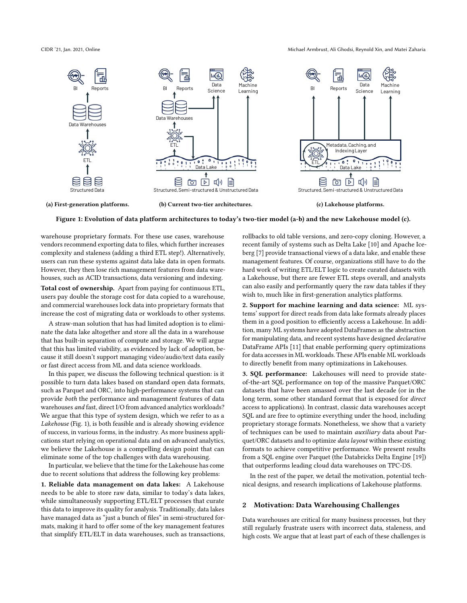CIDR '21, Jan. 2021, Online Michael Armbrust, Ali Ghodsi, Reynold Xin, and Matei Zaharia

<span id="page-1-0"></span>

Figure 1: Evolution of data platform architectures to today's two-tier model (a-b) and the new Lakehouse model (c).

warehouse proprietary formats. For these use cases, warehouse vendors recommend exporting data to files, which further increases complexity and staleness (adding a third ETL step!). Alternatively, users can run these systems against data lake data in open formats. However, they then lose rich management features from data warehouses, such as ACID transactions, data versioning and indexing.

Total cost of ownership. Apart from paying for continuous ETL, users pay double the storage cost for data copied to a warehouse, and commercial warehouses lock data into proprietary formats that increase the cost of migrating data or workloads to other systems.

A straw-man solution that has had limited adoption is to eliminate the data lake altogether and store all the data in a warehouse that has built-in separation of compute and storage. We will argue that this has limited viability, as evidenced by lack of adoption, because it still doesn't support managing video/audio/text data easily or fast direct access from ML and data science workloads.

In this paper, we discuss the following technical question: is it possible to turn data lakes based on standard open data formats, such as Parquet and ORC, into high-performance systems that can provide both the performance and management features of data warehouses and fast, direct I/O from advanced analytics workloads? We argue that this type of system design, which we refer to as a Lakehouse (Fig. [1\)](#page-1-0), is both feasible and is already showing evidence of success, in various forms, in the industry. As more business applications start relying on operational data and on advanced analytics, we believe the Lakehouse is a compelling design point that can eliminate some of the top challenges with data warehousing.

In particular, we believe that the time for the Lakehouse has come due to recent solutions that address the following key problems:

1. Reliable data management on data lakes: A Lakehouse needs to be able to store raw data, similar to today's data lakes, while simultaneously supporting ETL/ELT processes that curate this data to improve its quality for analysis. Traditionally, data lakes have managed data as "just a bunch of files" in semi-structured formats, making it hard to offer some of the key management features that simplify ETL/ELT in data warehouses, such as transactions,

rollbacks to old table versions, and zero-copy cloning. However, a recent family of systems such as Delta Lake [\[10\]](#page-6-3) and Apache Iceberg [\[7\]](#page-6-4) provide transactional views of a data lake, and enable these management features. Of course, organizations still have to do the hard work of writing ETL/ELT logic to create curated datasets with a Lakehouse, but there are fewer ETL steps overall, and analysts can also easily and performantly query the raw data tables if they wish to, much like in first-generation analytics platforms.

2. Support for machine learning and data science: ML systems' support for direct reads from data lake formats already places them in a good position to efficiently access a Lakehouse. In addition, many ML systems have adopted DataFrames as the abstraction for manipulating data, and recent systems have designed declarative DataFrame APIs [\[11\]](#page-6-5) that enable performing query optimizations for data accesses in ML workloads. These APIs enable ML workloads to directly benefit from many optimizations in Lakehouses.

3. SQL performance: Lakehouses will need to provide stateof-the-art SQL performance on top of the massive Parquet/ORC datasets that have been amassed over the last decade (or in the long term, some other standard format that is exposed for direct access to applications). In contrast, classic data warehouses accept SQL and are free to optimize everything under the hood, including proprietary storage formats. Nonetheless, we show that a variety of techniques can be used to maintain auxiliary data about Parquet/ORC datasets and to optimize data layout within these existing formats to achieve competitive performance. We present results from a SQL engine over Parquet (the Databricks Delta Engine [\[19\]](#page-7-4)) that outperforms leading cloud data warehouses on TPC-DS.

In the rest of the paper, we detail the motivation, potential technical designs, and research implications of Lakehouse platforms.

## 2 Motivation: Data Warehousing Challenges

Data warehouses are critical for many business processes, but they still regularly frustrate users with incorrect data, staleness, and high costs. We argue that at least part of each of these challenges is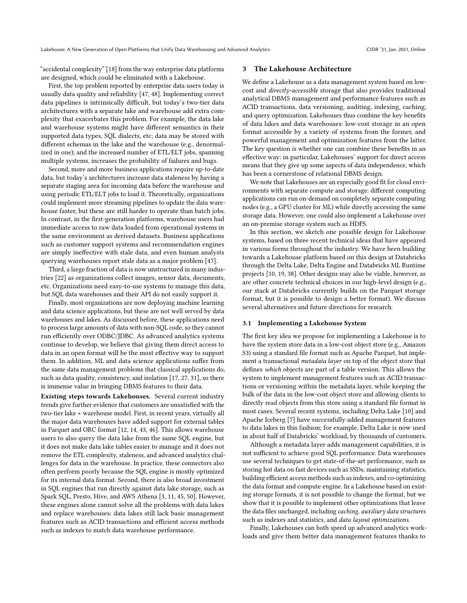"accidental complexity" [\[18\]](#page-7-5) from the way enterprise data platforms are designed, which could be eliminated with a Lakehouse.

First, the top problem reported by enterprise data users today is usually data quality and reliability [\[47,](#page-7-3) [48\]](#page-7-6). Implementing correct data pipelines is intrinsically difficult, but today's two-tier data architectures with a separate lake and warehouse add extra complexity that exacerbates this problem. For example, the data lake and warehouse systems might have different semantics in their supported data types, SQL dialects, etc; data may be stored with different schemas in the lake and the warehouse (e.g., denormalized in one); and the increased number of ETL/ELT jobs, spanning multiple systems, increases the probability of failures and bugs.

Second, more and more business applications require up-to-date data, but today's architectures increase data staleness by having a separate staging area for incoming data before the warehouse and using periodic ETL/ELT jobs to load it. Theoretically, organizations could implement more streaming pipelines to update the data warehouse faster, but these are still harder to operate than batch jobs. In contrast, in the first-generation platforms, warehouse users had immediate access to raw data loaded from operational systems in the same environment as derived datasets. Business applications such as customer support systems and recommendation engines are simply ineffective with stale data, and even human analysts querying warehouses report stale data as a major problem [\[47\]](#page-7-3).

Third, a large fraction of data is now unstructured in many industries [\[22\]](#page-7-7) as organizations collect images, sensor data, documents, etc. Organizations need easy-to-use systems to manage this data, but SQL data warehouses and their API do not easily support it.

Finally, most organizations are now deploying machine learning and data science applications, but these are not well served by data warehouses and lakes. As discussed before, these applications need to process large amounts of data with non-SQL code, so they cannot run efficiently over ODBC/JDBC. As advanced analytics systems continue to develop, we believe that giving them direct access to data in an open format will be the most effective way to support them. In addition, ML and data science applications suffer from the same data management problems that classical applications do, such as data quality, consistency, and isolation [\[17,](#page-7-8) [27,](#page-7-9) [31\]](#page-7-10), so there is immense value in bringing DBMS features to their data.

Existing steps towards Lakehouses. Several current industry trends give further evidence that customers are unsatisfied with the two-tier lake + warehouse model. First, in recent years, virtually all the major data warehouses have added support for external tables in Parquet and ORC format [\[12,](#page-7-11) [14,](#page-7-12) [43,](#page-7-13) [46\]](#page-7-14). This allows warehouse users to also query the data lake from the same SQL engine, but it does not make data lake tables easier to manage and it does not remove the ETL complexity, staleness, and advanced analytics challenges for data in the warehouse. In practice, these connectors also often perform poorly because the SQL engine is mostly optimized for its internal data format. Second, there is also broad investment in SQL engines that run directly against data lake storage, such as Spark SQL, Presto, Hive, and AWS Athena [\[3,](#page-6-6) [11,](#page-6-5) [45,](#page-7-15) [50\]](#page-7-16). However, these engines alone cannot solve all the problems with data lakes and replace warehouses: data lakes still lack basic management features such as ACID transactions and efficient access methods such as indexes to match data warehouse performance.

## 3 The Lakehouse Architecture

We define a Lakehouse as a data management system based on lowcost and directly-accessible storage that also provides traditional analytical DBMS management and performance features such as ACID transactions, data versioning, auditing, indexing, caching, and query optimization. Lakehouses thus combine the key benefits of data lakes and data warehouses: low-cost storage in an open format accessible by a variety of systems from the former, and powerful management and optimization features from the latter. The key question is whether one can combine these benefits in an effective way: in particular, Lakehouses' support for direct access means that they give up some aspects of data independence, which has been a cornerstone of relational DBMS design.

We note that Lakehouses are an especially good fit for cloud environments with separate compute and storage: different computing applications can run on-demand on completely separate computing nodes (e.g., a GPU cluster for ML) while directly accessing the same storage data. However, one could also implement a Lakehouse over an on-premise storage system such as HDFS.

In this section, we sketch one possible design for Lakehouse systems, based on three recent technical ideas that have appeared in various forms throughout the industry. We have been building towards a Lakehouse platform based on this design at Databricks through the Delta Lake, Delta Engine and Databricks ML Runtime projects [\[10,](#page-6-3) [19,](#page-7-4) [38\]](#page-7-17). Other designs may also be viable, however, as are other concrete technical choices in our high-level design (e.g., our stack at Databricks currently builds on the Parquet storage format, but it is possible to design a better format). We discuss several alternatives and future directions for research.

### 3.1 Implementing a Lakehouse System

The first key idea we propose for implementing a Lakehouse is to have the system store data in a low-cost object store (e.g., Amazon S3) using a standard file format such as Apache Parquet, but implement a transactional metadata layer on top of the object store that defines which objects are part of a table version. This allows the system to implement management features such as ACID transactions or versioning within the metadata layer, while keeping the bulk of the data in the low-cost object store and allowing clients to directly read objects from this store using a standard file format in most cases. Several recent systems, including Delta Lake [\[10\]](#page-6-3) and Apache Iceberg [\[7\]](#page-6-4) have successfully added management features to data lakes in this fashion; for example, Delta Lake is now used in about half of Databricks' workload, by thousands of customers.

Although a metadata layer adds management capabilities, it is not sufficient to achieve good SQL performance. Data warehouses use several techniques to get state-of-the-art performance, such as storing hot data on fast devices such as SSDs, maintaining statistics, building efficient access methods such as indexes, and co-optimizing the data format and compute engine. In a Lakehouse based on existing storage formats, it is not possible to change the format, but we show that it is possible to implement other optimizations that leave the data files unchanged, including caching, auxiliary data structures such as indexes and statistics, and data layout optimizations.

Finally, Lakehouses can both speed up advanced analytics workloads and give them better data management features thanks to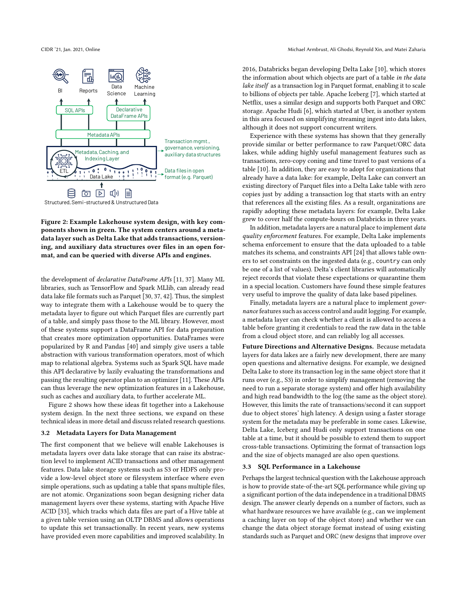<span id="page-3-0"></span>

Figure 2: Example Lakehouse system design, with key components shown in green. The system centers around a metadata layer such as Delta Lake that adds transactions, versioning, and auxiliary data structures over files in an open format, and can be queried with diverse APIs and engines.

the development of declarative DataFrame APIs [\[11,](#page-6-5) [37\]](#page-7-1). Many ML libraries, such as TensorFlow and Spark MLlib, can already read data lake file formats such as Parquet [\[30,](#page-7-0) [37,](#page-7-1) [42\]](#page-7-2). Thus, the simplest way to integrate them with a Lakehouse would be to query the metadata layer to figure out which Parquet files are currently part of a table, and simply pass those to the ML library. However, most of these systems support a DataFrame API for data preparation that creates more optimization opportunities. DataFrames were popularized by R and Pandas [\[40\]](#page-7-18) and simply give users a table abstraction with various transformation operators, most of which map to relational algebra. Systems such as Spark SQL have made this API declarative by lazily evaluating the transformations and passing the resulting operator plan to an optimizer [\[11\]](#page-6-5). These APIs can thus leverage the new optimization features in a Lakehouse, such as caches and auxiliary data, to further accelerate ML.

Figure [2](#page-3-0) shows how these ideas fit together into a Lakehouse system design. In the next three sections, we expand on these technical ideas in more detail and discuss related research questions.

#### <span id="page-3-2"></span>3.2 Metadata Layers for Data Management

The first component that we believe will enable Lakehouses is metadata layers over data lake storage that can raise its abstraction level to implement ACID transactions and other management features. Data lake storage systems such as S3 or HDFS only provide a low-level object store or filesystem interface where even simple operations, such as updating a table that spans multiple files, are not atomic. Organizations soon began designing richer data management layers over these systems, starting with Apache Hive ACID [\[33\]](#page-7-19), which tracks which data files are part of a Hive table at a given table version using an OLTP DBMS and allows operations to update this set transactionally. In recent years, new systems have provided even more capabilities and improved scalability. In

2016, Databricks began developing Delta Lake [\[10\]](#page-6-3), which stores the information about which objects are part of a table in the data lake itself as a transaction log in Parquet format, enabling it to scale to billions of objects per table. Apache Iceberg [\[7\]](#page-6-4), which started at Netflix, uses a similar design and supports both Parquet and ORC storage. Apache Hudi [\[6\]](#page-6-7), which started at Uber, is another system in this area focused on simplifying streaming ingest into data lakes, although it does not support concurrent writers.

Experience with these systems has shown that they generally provide similar or better performance to raw Parquet/ORC data lakes, while adding highly useful management features such as transactions, zero-copy coning and time travel to past versions of a table [\[10\]](#page-6-3). In addition, they are easy to adopt for organizations that already have a data lake: for example, Delta Lake can convert an existing directory of Parquet files into a Delta Lake table with zero copies just by adding a transaction log that starts with an entry that references all the existing files. As a result, organizations are rapidly adopting these metadata layers: for example, Delta Lake grew to cover half the compute-hours on Databricks in three years.

In addition, metadata layers are a natural place to implement data quality enforcement features. For example, Delta Lake implements schema enforcement to ensure that the data uploaded to a table matches its schema, and constraints API [\[24\]](#page-7-20) that allows table owners to set constraints on the ingested data (e.g., country can only be one of a list of values). Delta's client libraries will automatically reject records that violate these expectations or quarantine them in a special location. Customers have found these simple features very useful to improve the quality of data lake based pipelines.

Finally, metadata layers are a natural place to implement governance features such as access control and audit logging. For example, a metadata layer can check whether a client is allowed to access a table before granting it credentials to read the raw data in the table from a cloud object store, and can reliably log all accesses.

Future Directions and Alternative Designs. Because metadata layers for data lakes are a fairly new development, there are many open questions and alternative designs. For example, we designed Delta Lake to store its transaction log in the same object store that it runs over (e.g., S3) in order to simplify management (removing the need to run a separate storage system) and offer high availability and high read bandwidth to the log (the same as the object store). However, this limits the rate of transactions/second it can support due to object stores' high latency. A design using a faster storage system for the metadata may be preferable in some cases. Likewise, Delta Lake, Iceberg and Hudi only support transactions on one table at a time, but it should be possible to extend them to support cross-table transactions. Optimizing the format of transaction logs and the size of objects managed are also open questions.

#### <span id="page-3-1"></span>3.3 SQL Performance in a Lakehouse

Perhaps the largest technical question with the Lakehouse approach is how to provide state-of-the-art SQL performance while giving up a significant portion of the data independence in a traditional DBMS design. The answer clearly depends on a number of factors, such as what hardware resources we have available (e.g., can we implement a caching layer on top of the object store) and whether we can change the data object storage format instead of using existing standards such as Parquet and ORC (new designs that improve over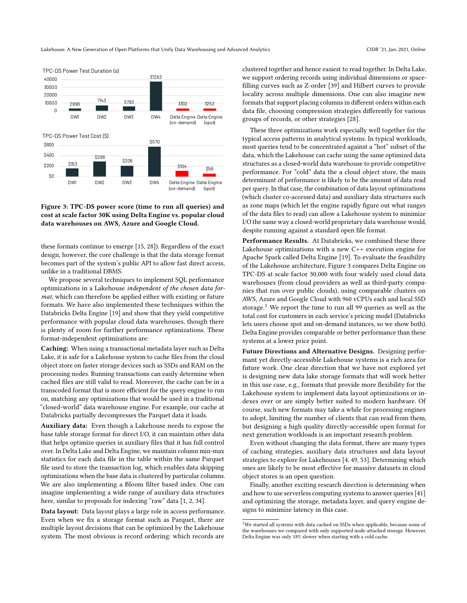<span id="page-4-0"></span>

Figure 3: TPC-DS power score (time to run all queries) and cost at scale factor 30K using Delta Engine vs. popular cloud data warehouses on AWS, Azure and Google Cloud.

these formats continue to emerge [\[15,](#page-7-21) [28\]](#page-7-22)). Regardless of the exact design, however, the core challenge is that the data storage format becomes part of the system's public API to allow fast direct access, unlike in a traditional DBMS.

We propose several techniques to implement SQL performance optimizations in a Lakehouse independent of the chosen data format, which can therefore be applied either with existing or future formats. We have also implemented these techniques within the Databricks Delta Engine [\[19\]](#page-7-4) and show that they yield competitive performance with popular cloud data warehouses, though there is plenty of room for further performance optimizations. These format-independent optimizations are:

Caching: When using a transactional metadata layer such as Delta Lake, it is safe for a Lakehouse system to cache files from the cloud object store on faster storage devices such as SSDs and RAM on the processing nodes. Running transactions can easily determine when cached files are still valid to read. Moreover, the cache can be in a transcoded format that is more efficient for the query engine to run on, matching any optimizations that would be used in a traditional "closed-world" data warehouse engine. For example, our cache at Databricks partially decompresses the Parquet data it loads.

Auxiliary data: Even though a Lakehouse needs to expose the base table storage format for direct I/O, it can maintain other data that helps optimize queries in auxiliary files that it has full control over. In Delta Lake and Delta Engine, we maintain column min-max statistics for each data file in the table within the same Parquet file used to store the transaction log, which enables data skipping optimizations when the base data is clustered by particular columns. We are also implementing a Bloom filter based index. One can imagine implementing a wide range of auxiliary data structures here, similar to proposals for indexing "raw" data [\[1,](#page-6-8) [2,](#page-6-9) [34\]](#page-7-23).

Data layout: Data layout plays a large role in access performance. Even when we fix a storage format such as Parquet, there are multiple layout decisions that can be optimized by the Lakehouse system. The most obvious is record ordering: which records are

clustered together and hence easiest to read together. In Delta Lake, we support ordering records using individual dimensions or spacefilling curves such as Z-order [\[39\]](#page-7-24) and Hilbert curves to provide locality across multiple dimensions. One can also imagine new formats that support placing columns in different orders within each data file, choosing compression strategies differently for various groups of records, or other strategies [\[28\]](#page-7-22).

These three optimizations work especially well together for the typical access patterns in analytical systems. In typical workloads, most queries tend to be concentrated against a "hot" subset of the data, which the Lakehouse can cache using the same optimized data structures as a closed-world data warehouse to provide competitive performance. For "cold" data the a cloud object store, the main determinant of performance is likely to be the amount of data read per query. In that case, the combination of data layout optimizations (which cluster co-accessed data) and auxiliary data structures such as zone maps (which let the engine rapidly figure out what ranges of the data files to read) can allow a Lakehouse system to minimize I/O the same way a closed-world proprietary data warehouse would, despite running against a standard open file format.

Performance Results. At Databricks, we combined these three Lakehouse optimizations with a new C++ execution engine for Apache Spark called Delta Engine [\[19\]](#page-7-4). To evaluate the feasibility of the Lakehouse architecture, Figure [3](#page-4-0) compares Delta Engine on TPC-DS at scale factor 30,000 with four widely used cloud data warehouses (from cloud providers as well as third-party companies that run over public clouds), using comparable clusters on AWS, Azure and Google Cloud with 960 vCPUs each and local SSD storage.<sup>[1](#page-4-1)</sup> We report the time to run all 99 queries as well as the total cost for customers in each service's pricing model (Databricks lets users choose spot and on-demand instances, so we show both). Delta Engine provides comparable or better performance than these systems at a lower price point.

Future Directions and Alternative Designs. Designing performant yet directly-accessible Lakehouse systems is a rich area for future work. One clear direction that we have not explored yet is designing new data lake storage formats that will work better in this use case, e.g., formats that provide more flexibility for the Lakehouse system to implement data layout optimizations or indexes over or are simply better suited to modern hardware. Of course, such new formats may take a while for processing engines to adopt, limiting the number of clients that can read from them, but designing a high quality directly-accessible open format for next generation workloads is an important research problem.

Even without changing the data format, there are many types of caching strategies, auxiliary data structures and data layout strategies to explore for Lakehouses [\[4,](#page-6-10) [49,](#page-7-25) [53\]](#page-7-26). Determining which ones are likely to be most effective for massive datasets in cloud object stores is an open question.

Finally, another exciting research direction is determining when and how to use serverless computing systems to answer queries [\[41\]](#page-7-27) and optimizing the storage, metadata layer, and query engine designs to minimize latency in this case.

<span id="page-4-2"></span><span id="page-4-1"></span> $^{\rm 1}{\rm We}$  started all systems with data cached on SSDs when applicable, because some of the warehouses we compared with only supported node-attached storage. However, Delta Engine was only 18% slower when starting with a cold cache.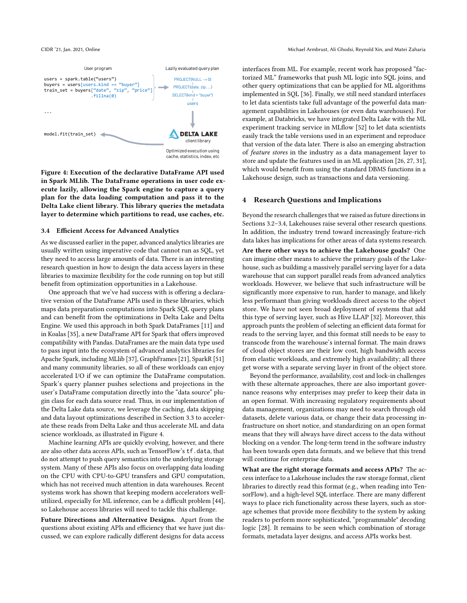<span id="page-5-0"></span>

Figure 4: Execution of the declarative DataFrame API used in Spark MLlib. The DataFrame operations in user code execute lazily, allowing the Spark engine to capture a query plan for the data loading computation and pass it to the Delta Lake client library. This library queries the metadata layer to determine which partitions to read, use caches, etc.

#### 3.4 Efficient Access for Advanced Analytics

As we discussed earlier in the paper, advanced analytics libraries are usually written using imperative code that cannot run as SQL, yet they need to access large amounts of data. There is an interesting research question in how to design the data access layers in these libraries to maximize flexibility for the code running on top but still benefit from optimization opportunities in a Lakehouse.

One approach that we've had success with is offering a declarative version of the DataFrame APIs used in these libraries, which maps data preparation computations into Spark SQL query plans and can benefit from the optimizations in Delta Lake and Delta Engine. We used this approach in both Spark DataFrames [\[11\]](#page-6-5) and in Koalas [\[35\]](#page-7-28), a new DataFrame API for Spark that offers improved compatibility with Pandas. DataFrames are the main data type used to pass input into the ecosystem of advanced analytics libraries for Apache Spark, including MLlib [\[37\]](#page-7-1), GraphFrames [\[21\]](#page-7-29), SparkR [\[51\]](#page-7-30) and many community libraries, so all of these workloads can enjoy accelerated I/O if we can optimize the DataFrame computation. Spark's query planner pushes selections and projections in the user's DataFrame computation directly into the "data source" plugin class for each data source read. Thus, in our implementation of the Delta Lake data source, we leverage the caching, data skipping and data layout optimizations described in Section [3.3](#page-3-1) to accelerate these reads from Delta Lake and thus accelerate ML and data science workloads, as illustrated in Figure [4.](#page-5-0)

Machine learning APIs are quickly evolving, however, and there are also other data access APIs, such as TensorFlow's tf.data, that do not attempt to push query semantics into the underlying storage system. Many of these APIs also focus on overlapping data loading on the CPU with CPU-to-GPU transfers and GPU computation, which has not received much attention in data warehouses. Recent systems work has shown that keeping modern accelerators wellutilized, especially for ML inference, can be a difficult problem [\[44\]](#page-7-31), so Lakehouse access libraries will need to tackle this challenge.

Future Directions and Alternative Designs. Apart from the questions about existing APIs and efficiency that we have just discussed, we can explore radically different designs for data access

interfaces from ML. For example, recent work has proposed "factorized ML" frameworks that push ML logic into SQL joins, and other query optimizations that can be applied for ML algorithms implemented in SQL [\[36\]](#page-7-32). Finally, we still need standard interfaces to let data scientists take full advantage of the powerful data management capabilities in Lakehouses (or even data warehouses). For example, at Databricks, we have integrated Delta Lake with the ML experiment tracking service in MLflow [\[52\]](#page-7-33) to let data scientists easily track the table versions used in an experiment and reproduce that version of the data later. There is also an emerging abstraction of feature stores in the industry as a data management layer to store and update the features used in an ML application [\[26,](#page-7-34) [27,](#page-7-9) [31\]](#page-7-10), which would benefit from using the standard DBMS functions in a Lakehouse design, such as transactions and data versioning.

#### 4 Research Questions and Implications

Beyond the research challenges that we raised as future directions in Sections [3.2–](#page-3-2)[3.4,](#page-4-2) Lakehouses raise several other research questions. In addition, the industry trend toward increasingly feature-rich data lakes has implications for other areas of data systems research.

Are there other ways to achieve the Lakehouse goals? One can imagine other means to achieve the primary goals of the Lakehouse, such as buildimg a massively parallel serving layer for a data warehouse that can support parallel reads from advanced analytics workloads. However, we believe that such infrastructure will be significantly more expensive to run, harder to manage, and likely less performant than giving workloads direct access to the object store. We have not seen broad deployment of systems that add this type of serving layer, such as Hive LLAP [\[32\]](#page-7-35). Moreover, this approach punts the problem of selecting an efficient data format for reads to the serving layer, and this format still needs to be easy to transcode from the warehouse's internal format. The main draws of cloud object stores are their low cost, high bandwidth access from elastic workloads, and extremely high availability; all three get worse with a separate serving layer in front of the object store.

Beyond the performance, availability, cost and lock-in challenges with these alternate approaches, there are also important governance reasons why enterprises may prefer to keep their data in an open format. With increasing regulatory requirements about data management, organizations may need to search through old datasets, delete various data, or change their data processing infrastructure on short notice, and standardizing on an open format means that they will always have direct access to the data without blocking on a vendor. The long-term trend in the software industry has been towards open data formats, and we believe that this trend will continue for enterprise data.

What are the right storage formats and access APIs? The access interface to a Lakehouse includes the raw storage format, client libraries to directly read this format (e.g., when reading into TensorFlow), and a high-level SQL interface. There are many different ways to place rich functionality across these layers, such as storage schemes that provide more flexibility to the system by asking readers to perform more sophisticated, "programmable" decoding logic [\[28\]](#page-7-22). It remains to be seen which combination of storage formats, metadata layer designs, and access APIs works best.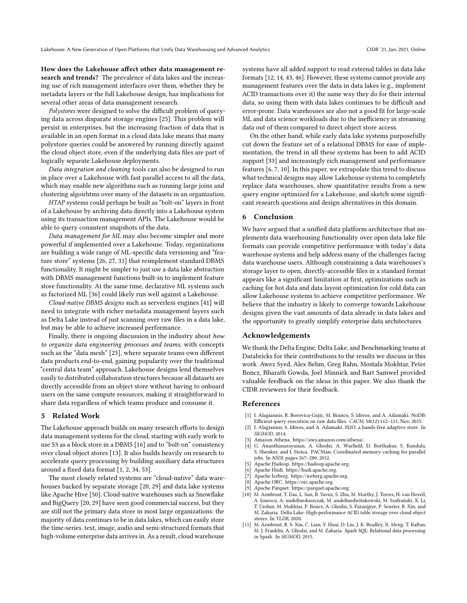How does the Lakehouse affect other data management research and trends? The prevalence of data lakes and the increasing use of rich management interfaces over them, whether they be metadata layers or the full Lakehouse design, has implications for several other areas of data management research.

Polystores were designed to solve the difficult problem of querying data across disparate storage engines [\[25\]](#page-7-36). This problem will persist in enterprises, but the increasing fraction of data that is available in an open format in a cloud data lake means that many polystore queries could be answered by running directly against the cloud object store, even if the underlying data files are part of logically separate Lakehouse deployments.

Data integration and cleaning tools can also be designed to run in place over a Lakehouse with fast parallel access to all the data, which may enable new algorithms such as running large joins and clustering algoirhtms over many of the datasets in an organization.

HTAP systems could perhaps be built as "bolt-on" layers in front of a Lakehouse by archiving data directly into a Lakehouse system using its transaction management APIs. The Lakehouse would be able to query consistent snapshots of the data.

Data management for ML may also become simpler and more powerful if implemented over a Lakehouse. Today, organizations are building a wide range of ML-specific data versioning and "feature store" systems [\[26,](#page-7-34) [27,](#page-7-9) [31\]](#page-7-10) that reimplement standard DBMS functionality. It might be simpler to just use a data lake abstraction with DBMS management functions built-in to implement feature store functionality. At the same time, declarative ML systems such as factorized ML [\[36\]](#page-7-32) could likely run well against a Lakehouse.

Cloud-native DBMS designs such as serverless engines [\[41\]](#page-7-27) will need to integrate with richer metadata management layers such as Delta Lake instead of just scanning over raw files in a data lake, but may be able to achieve increased performance.

Finally, there is ongoing discussion in the industry about how to organize data engineering processes and teams, with concepts such as the "data mesh" [\[23\]](#page-7-37), where separate teams own different data products end-to-end, gaining popularity over the traditional "central data team" approach. Lakehouse designs lend themselves easily to distributed collaboration structures because all datasets are directly accessible from an object store without having to onboard users on the same compute resources, making it straightforward to share data regardless of which teams produce and consume it.

#### 5 Related Work

The Lakehouse approach builds on many research efforts to design data management systems for the cloud, starting with early work to use S3 as a block store in a DBMS [\[16\]](#page-7-38) and to "bolt-on" consistency over cloud object stores [\[13\]](#page-7-39). It also builds heavily on research to accelerate query processing by building auxiliary data structures around a fixed data format [\[1,](#page-6-8) [2,](#page-6-9) [34,](#page-7-23) [53\]](#page-7-26).

The most closely related systems are "cloud-native" data warehouses backed by separate storage [\[20,](#page-7-40) [29\]](#page-7-41) and data lake systems like Apache Hive [\[50\]](#page-7-16). Cloud-native warehouses such as Snowflake and BigQuery [\[20,](#page-7-40) [29\]](#page-7-41) have seen good commercial success, but they are still not the primary data store in most large organizations: the majority of data continues to be in data lakes, which can easily store the time-series, text, image, audio and semi-structured formats that high-volume enterprise data arrives in. As a result, cloud warehouse

systems have all added support to read external tables in data lake formats [\[12,](#page-7-11) [14,](#page-7-12) [43,](#page-7-13) [46\]](#page-7-14). However, these systems cannot provide any management features over the data in data lakes (e.g., implement ACID transactions over it) the same way they do for their internal data, so using them with data lakes continues to be difficult and error-prone. Data warehouses are also not a good fit for large-scale ML and data science workloads due to the inefficiency in streaming data out of them compared to direct object store access.

On the other hand, while early data lake systems purposefully cut down the feature set of a relational DBMS for ease of implementation, the trend in all these systems has been to add ACID support [\[33\]](#page-7-19) and increasingly rich management and performance features [\[6,](#page-6-7) [7,](#page-6-4) [10\]](#page-6-3). In this paper, we extrapolate this trend to discuss what technical designs may allow Lakehouse systems to completely replace data warehouses, show quantitative results from a new query engine optimized for a Lakehouse, and sketch some significant research questions and design alternatives in this domain.

# 6 Conclusion

We have argued that a unified data platform architecture that implements data warehousing functionality over open data lake file formats can provide competitive performance with today's data warehouse systems and help address many of the challenges facing data warehouse users. Although constraining a data warehouses's storage layer to open, directly-accessible files in a standard format appears like a significant limitation at first, optimizations such as caching for hot data and data layout optimization for cold data can allow Lakehouse systems to achieve competitive performance. We believe that the industry is likely to converge towards Lakehouse designs given the vast amounts of data already in data lakes and the opportunity to greatly simplify enterprise data architectures.

## Acknowledgements

We thank the Delta Engine, Delta Lake, and Benchmarking teams at Databricks for their contributions to the results we discuss in this work. Awez Syed, Alex Behm, Greg Rahn, Mostafa Mokhtar, Peter Boncz, Bharath Gowda, Joel Minnick and Bart Samwel provided valuable feedback on the ideas in this paper. We also thank the CIDR reviewers for their feedback.

#### References

- <span id="page-6-8"></span>I. Alagiannis, R. Borovica-Gajic, M. Branco, S. Idreos, and A. Ailamaki. NoDB: Efficient query execution on raw data files. CACM, 58(12):112–121, Nov. 2015.
- <span id="page-6-9"></span>[2] I. Alagiannis, S. Idreos, and A. Ailamaki. H2O: a hands-free adaptive store. In SIGMOD, 2014.
- <span id="page-6-6"></span>Amazon Athena. [https://aws.amazon.com/athena/.](https://aws.amazon.com/athena/)
- <span id="page-6-10"></span>[4] G. Ananthanarayanan, A. Ghodsi, A. Warfield, D. Borthakur, S. Kandula, S. Shenker, and I. Stoica. PACMan: Coordinated memory caching for parallel jobs. In NSDI, pages 267–280, 2012.
- <span id="page-6-2"></span>[5] Apache Hadoop. [https://hadoop.apache.org.](https://hadoop.apache.org)<br>[6] Apache Hudi. https://hudi.apache.org.
- <span id="page-6-7"></span>[6] Apache Hudi. [https://hudi.apache.org.](https://hudi.apache.org)<br>[7] Apache Iceberg. https://iceberg.apache
- <span id="page-6-4"></span>Apache Iceberg. [https://iceberg.apache.org.](https://iceberg.apache.org)
- <span id="page-6-0"></span>Apache ORC. [https://orc.apache.org.](https://orc.apache.org)
- <span id="page-6-1"></span>Apache Parquet. [https://parquet.apache.org.](https://parquet.apache.org)
- <span id="page-6-3"></span>[10] M. Armbrust, T. Das, L. Sun, B. Yavuz, S. Zhu, M. Murthy, J. Torres, H. van Hovell, A. Ionescu, A. undefineduszczak, M. undefinedwitakowski, M. Szafrański, X. Li, T. Ueshin, M. Mokhtar, P. Boncz, A. Ghodsi, S. Paranjpye, P. Senster, R. Xin, and M. Zaharia. Delta Lake: High-performance ACID table storage over cloud object stores. In VLDB, 2020.
- <span id="page-6-5"></span>[11] M. Armbrust, R. S. Xin, C. Lian, Y. Huai, D. Liu, J. K. Bradley, X. Meng, T. Kaftan, M. J. Franklin, A. Ghodsi, and M. Zaharia. Spark SQL: Relational data processing in Spark. In SIGMOD, 2015.